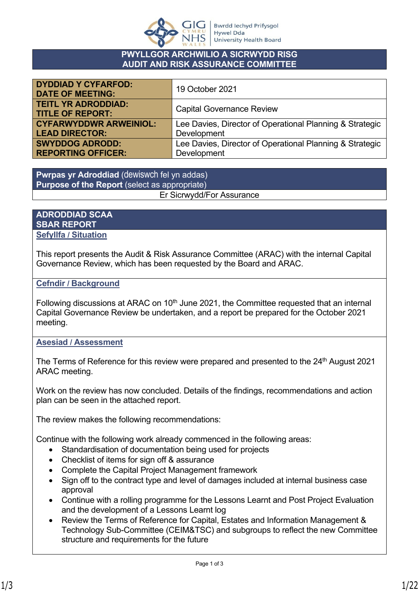

#### **PWYLLGOR ARCHWILIO A SICRWYDD RISG AUDIT AND RISK ASSURANCE COMMITTEE**

| <b>DYDDIAD Y CYFARFOD:</b><br><b>DATE OF MEETING:</b> | 19 October 2021                                          |
|-------------------------------------------------------|----------------------------------------------------------|
| <b>TEITL YR ADRODDIAD:</b><br><b>TITLE OF REPORT:</b> | <b>Capital Governance Review</b>                         |
| <b>CYFARWYDDWR ARWEINIOL:</b>                         | Lee Davies, Director of Operational Planning & Strategic |
| <b>LEAD DIRECTOR:</b>                                 | Development                                              |
| <b>SWYDDOG ADRODD:</b>                                | Lee Davies, Director of Operational Planning & Strategic |
| <b>REPORTING OFFICER:</b>                             | Development                                              |

**Pwrpas yr Adroddiad** (dewiswch fel yn addas) **Purpose of the Report** (select as appropriate) Er Sicrwydd/For Assurance

#### **ADRODDIAD SCAA SBAR REPORT Sefyllfa / Situation**

This report presents the Audit & Risk Assurance Committee (ARAC) with the internal Capital Governance Review, which has been requested by the Board and ARAC.

### **Cefndir / Background**

Following discussions at ARAC on  $10<sup>th</sup>$  June 2021, the Committee requested that an internal Capital Governance Review be undertaken, and a report be prepared for the October 2021 meeting.

### **Asesiad / Assessment**

The Terms of Reference for this review were prepared and presented to the  $24<sup>th</sup>$  August 2021 ARAC meeting.

Work on the review has now concluded. Details of the findings, recommendations and action plan can be seen in the attached report.

The review makes the following recommendations:

Continue with the following work already commenced in the following areas:

- Standardisation of documentation being used for projects
- Checklist of items for sign off & assurance
- Complete the Capital Project Management framework
- Sign off to the contract type and level of damages included at internal business case approval
- Continue with a rolling programme for the Lessons Learnt and Post Project Evaluation and the development of a Lessons Learnt log
- Review the Terms of Reference for Capital, Estates and Information Management & Technology Sub-Committee (CEIM&TSC) and subgroups to reflect the new Committee structure and requirements for the future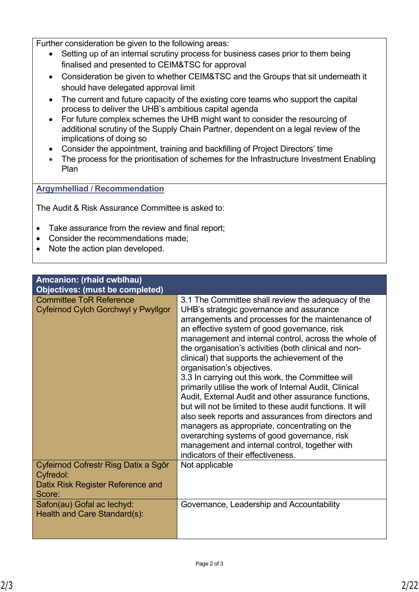Further consideration be given to the following areas:

- Setting up of an internal scrutiny process for business cases prior to them being finalised and presented to CEIM&TSC for approval
- Consideration be given to whether CEIM&TSC and the Groups that sit underneath it should have delegated approval limit
- The current and future capacity of the existing core teams who support the capital process to deliver the UHB's ambitious capital agenda
- For future complex schemes the UHB might want to consider the resourcing of additional scrutiny of the Supply Chain Partner, dependent on a legal review of the implications of doing so
- Consider the appointment, training and backfilling of Project Directors' time
- The process for the prioritisation of schemes for the Infrastructure Investment Enabling Plan

### **Argymhelliad / Recommendation**

The Audit & Risk Assurance Committee is asked to:

- Take assurance from the review and final report;
- Consider the recommendations made;
- Note the action plan developed.

| Amcanion: (rhaid cwblhau)<br><b>Objectives: (must be completed)</b>                              |                                                                                                                                                                                                                                                                                                                                                                                                                                                                                                                                                                                                                                                                                                                                                                                                                                                                                          |
|--------------------------------------------------------------------------------------------------|------------------------------------------------------------------------------------------------------------------------------------------------------------------------------------------------------------------------------------------------------------------------------------------------------------------------------------------------------------------------------------------------------------------------------------------------------------------------------------------------------------------------------------------------------------------------------------------------------------------------------------------------------------------------------------------------------------------------------------------------------------------------------------------------------------------------------------------------------------------------------------------|
| <b>Committee ToR Reference</b><br>Cyfeirnod Cylch Gorchwyl y Pwyllgor                            | 3.1 The Committee shall review the adequacy of the<br>UHB's strategic governance and assurance<br>arrangements and processes for the maintenance of<br>an effective system of good governance, risk<br>management and internal control, across the whole of<br>the organisation's activities (both clinical and non-<br>clinical) that supports the achievement of the<br>organisation's objectives.<br>3.3 In carrying out this work, the Committee will<br>primarily utilise the work of Internal Audit, Clinical<br>Audit, External Audit and other assurance functions,<br>but will not be limited to these audit functions. It will<br>also seek reports and assurances from directors and<br>managers as appropriate, concentrating on the<br>overarching systems of good governance, risk<br>management and internal control, together with<br>indicators of their effectiveness. |
| Cyfeirnod Cofrestr Risg Datix a Sgôr<br>Cyfredol:<br>Datix Risk Register Reference and<br>Score: | Not applicable                                                                                                                                                                                                                                                                                                                                                                                                                                                                                                                                                                                                                                                                                                                                                                                                                                                                           |
| Safon(au) Gofal ac lechyd:<br>Health and Care Standard(s):                                       | Governance, Leadership and Accountability                                                                                                                                                                                                                                                                                                                                                                                                                                                                                                                                                                                                                                                                                                                                                                                                                                                |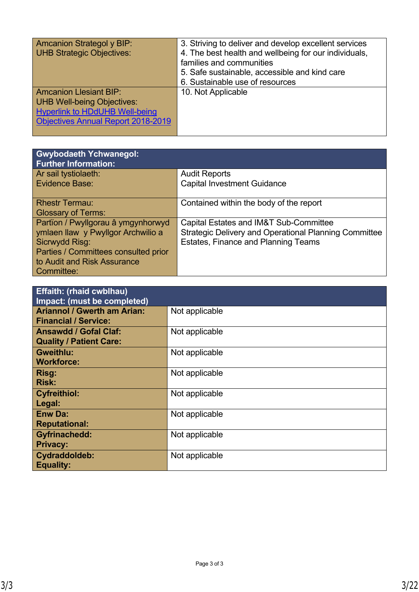| <b>Amcanion Strategol y BIP:</b><br><b>UHB Strategic Objectives:</b>                                                                                     | 3. Striving to deliver and develop excellent services<br>4. The best health and wellbeing for our individuals,<br>families and communities<br>5. Safe sustainable, accessible and kind care<br>6. Sustainable use of resources |
|----------------------------------------------------------------------------------------------------------------------------------------------------------|--------------------------------------------------------------------------------------------------------------------------------------------------------------------------------------------------------------------------------|
| <b>Amcanion Llesiant BIP:</b><br><b>UHB Well-being Objectives:</b><br><b>Hyperlink to HDdUHB Well-being</b><br><b>Objectives Annual Report 2018-2019</b> | 10. Not Applicable                                                                                                                                                                                                             |

| <b>Gwybodaeth Ychwanegol:</b><br><b>Further Information:</b> |                                                              |
|--------------------------------------------------------------|--------------------------------------------------------------|
| Ar sail tystiolaeth:                                         | <b>Audit Reports</b>                                         |
| Evidence Base:                                               | <b>Capital Investment Guidance</b>                           |
| <b>Rhestr Termau:</b>                                        | Contained within the body of the report                      |
| <b>Glossary of Terms:</b>                                    |                                                              |
| Partïon / Pwyllgorau â ymgynhorwyd                           | Capital Estates and IM&T Sub-Committee                       |
| ymlaen llaw y Pwyllgor Archwilio a                           | <b>Strategic Delivery and Operational Planning Committee</b> |
| Sicrwydd Risg:                                               | <b>Estates, Finance and Planning Teams</b>                   |
| Parties / Committees consulted prior                         |                                                              |
| to Audit and Risk Assurance                                  |                                                              |
| Committee:                                                   |                                                              |

| <b>Effaith: (rhaid cwblhau)</b><br>Impact: (must be completed)    |                |
|-------------------------------------------------------------------|----------------|
| <b>Ariannol / Gwerth am Arian:</b><br><b>Financial / Service:</b> | Not applicable |
| <b>Ansawdd / Gofal Claf:</b><br><b>Quality / Patient Care:</b>    | Not applicable |
| <b>Gweithlu:</b><br><b>Workforce:</b>                             | Not applicable |
| Risg:<br><b>Risk:</b>                                             | Not applicable |
| <b>Cyfreithiol:</b><br>Legal:                                     | Not applicable |
| <b>Enw Da:</b><br><b>Reputational:</b>                            | Not applicable |
| <b>Gyfrinachedd:</b><br><b>Privacy:</b>                           | Not applicable |
| Cydraddoldeb:<br><b>Equality:</b>                                 | Not applicable |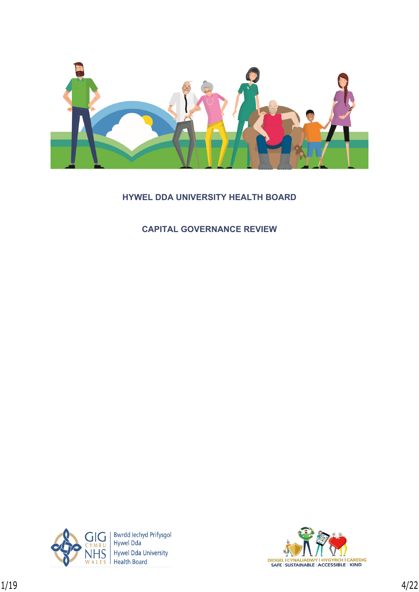

# **HYWEL DDA UNIVERSITY HEALTH BOARD**

**CAPITAL GOVERNANCE REVIEW**



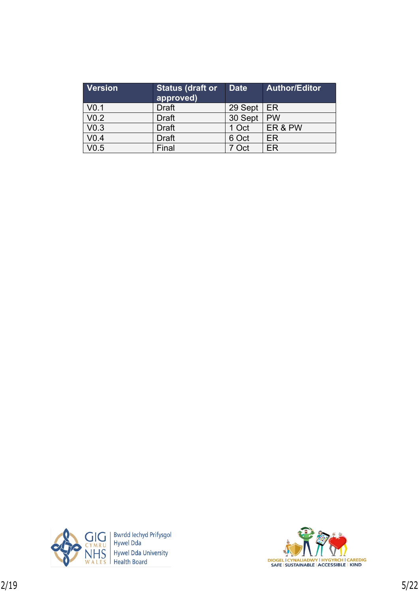| <b>Version</b>   | <b>Status (draft or</b><br>approved) | <b>Date</b> | <b>Author/Editor</b> |
|------------------|--------------------------------------|-------------|----------------------|
| V <sub>0.1</sub> | <b>Draft</b>                         | 29 Sept     | ER.                  |
| V <sub>0.2</sub> | <b>Draft</b>                         | 30 Sept     | <b>PW</b>            |
| V <sub>0.3</sub> | <b>Draft</b>                         | 1 Oct       | ER&PW                |
| V <sub>0.4</sub> | <b>Draft</b>                         | 6 Oct       | ER                   |
| V0.5             | Final                                | 7 Oct       | ER                   |



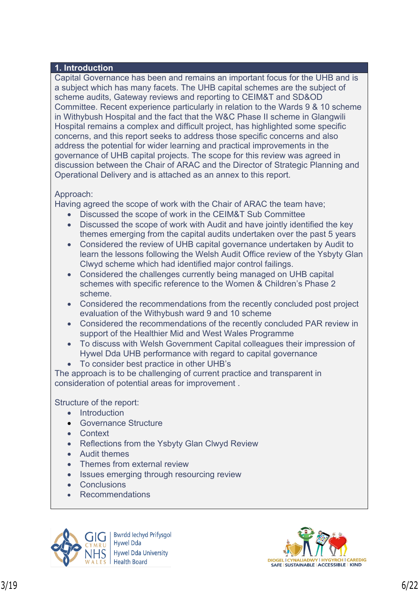#### **1. Introduction**

Capital Governance has been and remains an important focus for the UHB and is a subject which has many facets. The UHB capital schemes are the subject of scheme audits, Gateway reviews and reporting to CEIM&T and SD&OD Committee. Recent experience particularly in relation to the Wards 9 & 10 scheme in Withybush Hospital and the fact that the W&C Phase II scheme in Glangwili Hospital remains a complex and difficult project, has highlighted some specific concerns, and this report seeks to address those specific concerns and also address the potential for wider learning and practical improvements in the governance of UHB capital projects. The scope for this review was agreed in discussion between the Chair of ARAC and the Director of Strategic Planning and Operational Delivery and is attached as an annex to this report.

### Approach:

Having agreed the scope of work with the Chair of ARAC the team have;

- Discussed the scope of work in the CEIM&T Sub Committee
- Discussed the scope of work with Audit and have jointly identified the key themes emerging from the capital audits undertaken over the past 5 years
- Considered the review of UHB capital governance undertaken by Audit to learn the lessons following the Welsh Audit Office review of the Ysbyty Glan Clwyd scheme which had identified major control failings.
- Considered the challenges currently being managed on UHB capital schemes with specific reference to the Women & Children's Phase 2 scheme.
- Considered the recommendations from the recently concluded post project evaluation of the Withybush ward 9 and 10 scheme
- Considered the recommendations of the recently concluded PAR review in support of the Healthier Mid and West Wales Programme
- To discuss with Welsh Government Capital colleagues their impression of Hywel Dda UHB performance with regard to capital governance
- To consider best practice in other UHB's

The approach is to be challenging of current practice and transparent in consideration of potential areas for improvement .

Structure of the report:

- Introduction
- **Governance Structure**
- **Context**
- Reflections from the Ysbyty Glan Clwyd Review
- Audit themes
- Themes from external review
- Issues emerging through resourcing review
- Conclusions
- Recommendations



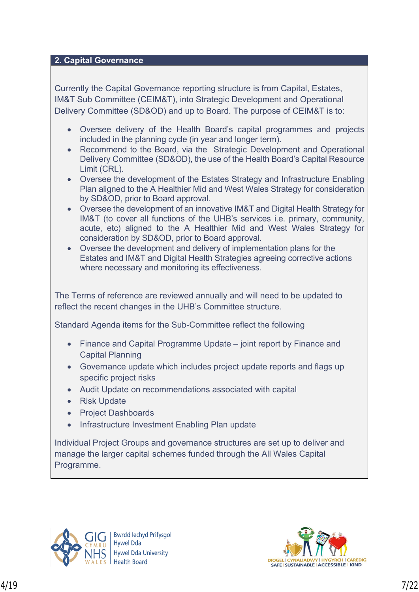### **2. Capital Governance**

Currently the Capital Governance reporting structure is from Capital, Estates, IM&T Sub Committee (CEIM&T), into Strategic Development and Operational Delivery Committee (SD&OD) and up to Board. The purpose of CEIM&T is to:

- Oversee delivery of the Health Board's capital programmes and projects included in the planning cycle (in year and longer term).
- Recommend to the Board, via the Strategic Development and Operational Delivery Committee (SD&OD), the use of the Health Board's Capital Resource Limit (CRL).
- Oversee the development of the Estates Strategy and Infrastructure Enabling Plan aligned to the A Healthier Mid and West Wales Strategy for consideration by SD&OD, prior to Board approval.
- Oversee the development of an innovative IM&T and Digital Health Strategy for IM&T (to cover all functions of the UHB's services i.e. primary, community, acute, etc) aligned to the A Healthier Mid and West Wales Strategy for consideration by SD&OD, prior to Board approval.
- Oversee the development and delivery of implementation plans for the Estates and IM&T and Digital Health Strategies agreeing corrective actions where necessary and monitoring its effectiveness.

The Terms of reference are reviewed annually and will need to be updated to reflect the recent changes in the UHB's Committee structure.

Standard Agenda items for the Sub-Committee reflect the following

- Finance and Capital Programme Update joint report by Finance and Capital Planning
- Governance update which includes project update reports and flags up specific project risks
- Audit Update on recommendations associated with capital
- Risk Update
- Project Dashboards
- Infrastructure Investment Enabling Plan update

Individual Project Groups and governance structures are set up to deliver and manage the larger capital schemes funded through the All Wales Capital Programme.



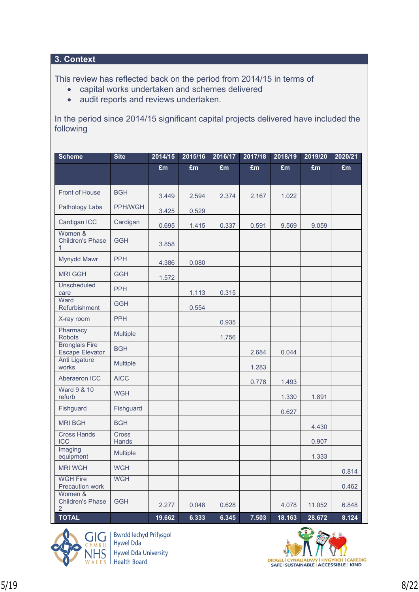## **3. Context**

This review has reflected back on the period from 2014/15 in terms of

- capital works undertaken and schemes delivered
- audit reports and reviews undertaken.

In the period since 2014/15 significant capital projects delivered have included the following

| <b>Scheme</b>                                        | <b>Site</b>     | 2014/15 | 2015/16 | 2016/17 | 2017/18 | 2018/19 | 2019/20 | 2020/21 |
|------------------------------------------------------|-----------------|---------|---------|---------|---------|---------|---------|---------|
|                                                      |                 | £m      | £m      | £m      | £m      | £m      | £m      | £m      |
| Front of House                                       | <b>BGH</b>      | 3.449   | 2.594   | 2.374   | 2.167   | 1.022   |         |         |
| Pathology Labs                                       | PPH/WGH         | 3.425   | 0.529   |         |         |         |         |         |
| Cardigan ICC                                         | Cardigan        | 0.695   | 1.415   | 0.337   | 0.591   | 9.569   | 9.059   |         |
| Women &<br><b>Children's Phase</b><br>1              | <b>GGH</b>      | 3.858   |         |         |         |         |         |         |
| Mynydd Mawr                                          | <b>PPH</b>      | 4.386   | 0.080   |         |         |         |         |         |
| <b>MRI GGH</b>                                       | <b>GGH</b>      | 1.572   |         |         |         |         |         |         |
| <b>Unscheduled</b><br>care                           | <b>PPH</b>      |         | 1.113   | 0.315   |         |         |         |         |
| Ward<br>Refurbishment                                | <b>GGH</b>      |         | 0.554   |         |         |         |         |         |
| X-ray room                                           | <b>PPH</b>      |         |         | 0.935   |         |         |         |         |
| Pharmacy<br><b>Robots</b>                            | Multiple        |         |         | 1.756   |         |         |         |         |
| <b>Bronglais Fire</b><br><b>Escape Elevator</b>      | <b>BGH</b>      |         |         |         | 2.684   | 0.044   |         |         |
| <b>Anti Ligature</b><br>works                        | <b>Multiple</b> |         |         |         | 1.283   |         |         |         |
| Aberaeron ICC                                        | <b>AICC</b>     |         |         |         | 0.778   | 1.493   |         |         |
| <b>Ward 9 &amp; 10</b><br>refurb                     | <b>WGH</b>      |         |         |         |         | 1.330   | 1.891   |         |
| Fishguard                                            | Fishguard       |         |         |         |         | 0.627   |         |         |
| <b>MRI BGH</b>                                       | <b>BGH</b>      |         |         |         |         |         | 4.430   |         |
| <b>Cross Hands</b><br><b>ICC</b>                     | Cross<br>Hands  |         |         |         |         |         | 0.907   |         |
| Imaging<br>equipment                                 | Multiple        |         |         |         |         |         | 1.333   |         |
| <b>MRI WGH</b>                                       | <b>WGH</b>      |         |         |         |         |         |         | 0.814   |
| <b>WGH Fire</b><br>Precaution work                   | <b>WGH</b>      |         |         |         |         |         |         | 0.462   |
| Women &<br><b>Children's Phase</b><br>$\overline{2}$ | <b>GGH</b>      | 2.277   | 0.048   | 0.628   |         | 4.078   | 11.052  | 6.848   |
| <b>TOTAL</b>                                         |                 | 19.662  | 6.333   | 6.345   | 7.503   | 18.163  | 28.672  | 8.124   |



Bwrdd Iechyd Prifysgol<br>Hywel Dda **Hywel Dda University Health Board** 

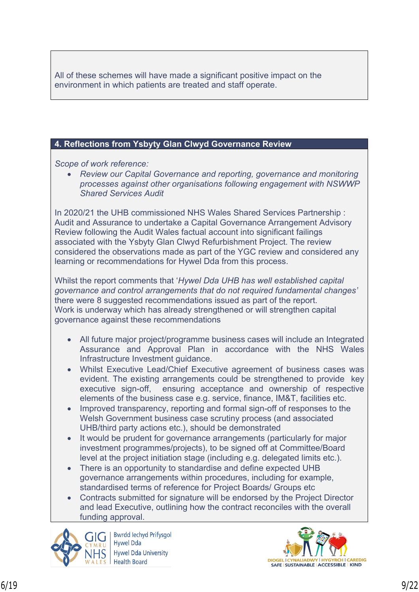All of these schemes will have made a significant positive impact on the environment in which patients are treated and staff operate.

### **4. Reflections from Ysbyty Glan Clwyd Governance Review**

*Scope of work reference:*

 *Review our Capital Governance and reporting, governance and monitoring processes against other organisations following engagement with NSWWP Shared Services Audit*

In 2020/21 the UHB commissioned NHS Wales Shared Services Partnership : Audit and Assurance to undertake a Capital Governance Arrangement Advisory Review following the Audit Wales factual account into significant failings associated with the Ysbyty Glan Clwyd Refurbishment Project. The review considered the observations made as part of the YGC review and considered any learning or recommendations for Hywel Dda from this process.

Whilst the report comments that '*Hywel Dda UHB has well established capital governance and control arrangements that do not required fundamental changes'*  there were 8 suggested recommendations issued as part of the report. Work is underway which has already strengthened or will strengthen capital governance against these recommendations

- All future major project/programme business cases will include an Integrated Assurance and Approval Plan in accordance with the NHS Wales Infrastructure Investment guidance.
- Whilst Executive Lead/Chief Executive agreement of business cases was evident. The existing arrangements could be strengthened to provide key executive sign-off, ensuring acceptance and ownership of respective elements of the business case e.g. service, finance, IM&T, facilities etc.
- Improved transparency, reporting and formal sign-off of responses to the Welsh Government business case scrutiny process (and associated UHB/third party actions etc.), should be demonstrated
- It would be prudent for governance arrangements (particularly for major investment programmes/projects), to be signed off at Committee/Board level at the project initiation stage (including e.g. delegated limits etc.).
- There is an opportunity to standardise and define expected UHB governance arrangements within procedures, including for example, standardised terms of reference for Project Boards/ Groups etc
- Contracts submitted for signature will be endorsed by the Project Director and lead Executive, outlining how the contract reconciles with the overall funding approval.



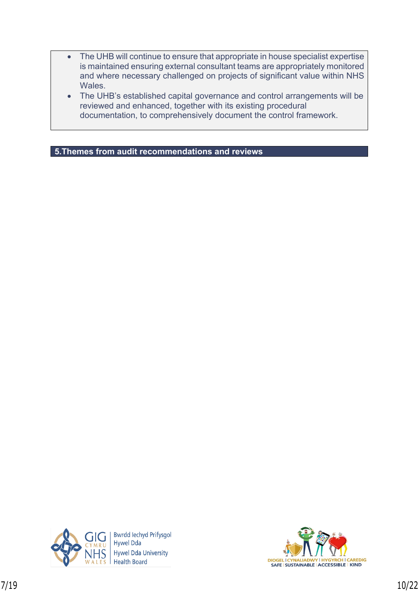- The UHB will continue to ensure that appropriate in house specialist expertise is maintained ensuring external consultant teams are appropriately monitored and where necessary challenged on projects of significant value within NHS Wales.
- The UHB's established capital governance and control arrangements will be reviewed and enhanced, together with its existing procedural documentation, to comprehensively document the control framework.

**5.Themes from audit recommendations and reviews**



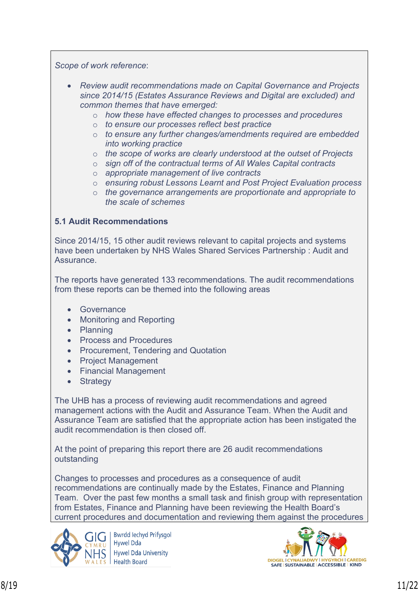*Scope of work reference*:

- *Review audit recommendations made on Capital Governance and Projects since 2014/15 (Estates Assurance Reviews and Digital are excluded) and common themes that have emerged:*
	- o *how these have effected changes to processes and procedures*
	- o *to ensure our processes reflect best practice*
	- o *to ensure any further changes/amendments required are embedded into working practice*
	- o *the scope of works are clearly understood at the outset of Projects*
	- o *sign off of the contractual terms of All Wales Capital contracts*
	- o *appropriate management of live contracts*
	- o *ensuring robust Lessons Learnt and Post Project Evaluation process*
	- o *the governance arrangements are proportionate and appropriate to the scale of schemes*

#### **5.1 Audit Recommendations**

Since 2014/15, 15 other audit reviews relevant to capital projects and systems have been undertaken by NHS Wales Shared Services Partnership : Audit and **Assurance** 

The reports have generated 133 recommendations. The audit recommendations from these reports can be themed into the following areas

- **•** Governance
- Monitoring and Reporting
- Planning
- Process and Procedures
- Procurement, Tendering and Quotation
- Project Management
- Financial Management
- Strategy

The UHB has a process of reviewing audit recommendations and agreed management actions with the Audit and Assurance Team. When the Audit and Assurance Team are satisfied that the appropriate action has been instigated the audit recommendation is then closed off.

At the point of preparing this report there are 26 audit recommendations outstanding

Changes to processes and procedures as a consequence of audit recommendations are continually made by the Estates, Finance and Planning Team. Over the past few months a small task and finish group with representation from Estates, Finance and Planning have been reviewing the Health Board's current procedures and documentation and reviewing them against the procedures



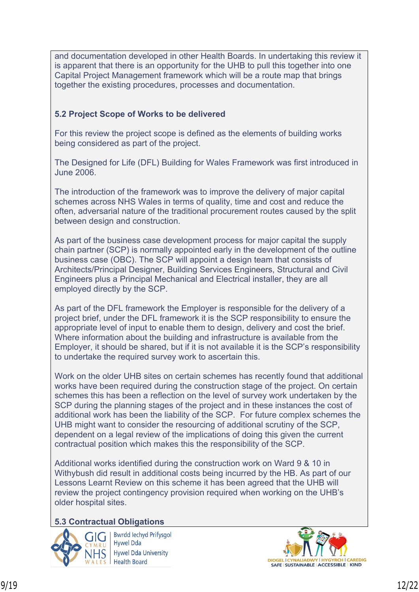and documentation developed in other Health Boards. In undertaking this review it is apparent that there is an opportunity for the UHB to pull this together into one Capital Project Management framework which will be a route map that brings together the existing procedures, processes and documentation.

## **5.2 Project Scope of Works to be delivered**

For this review the project scope is defined as the elements of building works being considered as part of the project.

The Designed for Life (DFL) Building for Wales Framework was first introduced in June 2006.

The introduction of the framework was to improve the delivery of major capital schemes across NHS Wales in terms of quality, time and cost and reduce the often, adversarial nature of the traditional procurement routes caused by the split between design and construction.

As part of the business case development process for major capital the supply chain partner (SCP) is normally appointed early in the development of the outline business case (OBC). The SCP will appoint a design team that consists of Architects/Principal Designer, Building Services Engineers, Structural and Civil Engineers plus a Principal Mechanical and Electrical installer, they are all employed directly by the SCP.

As part of the DFL framework the Employer is responsible for the delivery of a project brief, under the DFL framework it is the SCP responsibility to ensure the appropriate level of input to enable them to design, delivery and cost the brief. Where information about the building and infrastructure is available from the Employer, it should be shared, but if it is not available it is the SCP's responsibility to undertake the required survey work to ascertain this.

Work on the older UHB sites on certain schemes has recently found that additional works have been required during the construction stage of the project. On certain schemes this has been a reflection on the level of survey work undertaken by the SCP during the planning stages of the project and in these instances the cost of additional work has been the liability of the SCP. For future complex schemes the UHB might want to consider the resourcing of additional scrutiny of the SCP, dependent on a legal review of the implications of doing this given the current contractual position which makes this the responsibility of the SCP.

Additional works identified during the construction work on Ward 9 & 10 in Withybush did result in additional costs being incurred by the HB. As part of our Lessons Learnt Review on this scheme it has been agreed that the UHB will review the project contingency provision required when working on the UHB's older hospital sites.

## **5.3 Contractual Obligations**



**Bwrdd lechyd Prifysgol Hywel Dda Hywel Dda University** Health Board

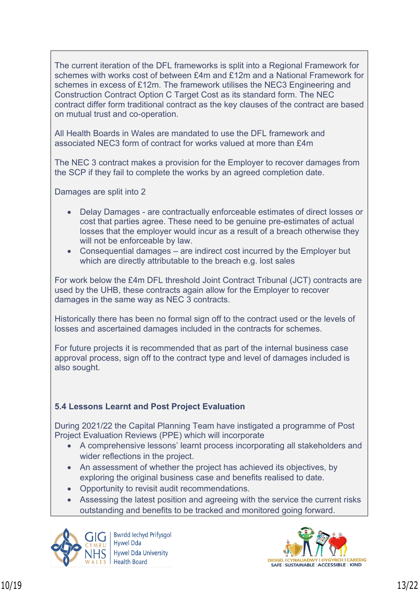The current iteration of the DFL frameworks is split into a Regional Framework for schemes with works cost of between £4m and £12m and a National Framework for schemes in excess of £12m. The framework utilises the NEC3 Engineering and Construction Contract Option C Target Cost as its standard form. The NEC contract differ form traditional contract as the key clauses of the contract are based on mutual trust and co-operation.

All Health Boards in Wales are mandated to use the DFL framework and associated NEC3 form of contract for works valued at more than £4m

The NEC 3 contract makes a provision for the Employer to recover damages from the SCP if they fail to complete the works by an agreed completion date.

Damages are split into 2

- Delay Damages are contractually enforceable estimates of direct losses or cost that parties agree. These need to be genuine pre-estimates of actual losses that the employer would incur as a result of a breach otherwise they will not be enforceable by law.
- Consequential damages are indirect cost incurred by the Employer but which are directly attributable to the breach e.g. lost sales

For work below the £4m DFL threshold Joint Contract Tribunal (JCT) contracts are used by the UHB, these contracts again allow for the Employer to recover damages in the same way as NEC 3 contracts.

Historically there has been no formal sign off to the contract used or the levels of losses and ascertained damages included in the contracts for schemes.

For future projects it is recommended that as part of the internal business case approval process, sign off to the contract type and level of damages included is also sought.

## **5.4 Lessons Learnt and Post Project Evaluation**

During 2021/22 the Capital Planning Team have instigated a programme of Post Project Evaluation Reviews (PPE) which will incorporate

- A comprehensive lessons' learnt process incorporating all stakeholders and wider reflections in the project.
- An assessment of whether the project has achieved its objectives, by exploring the original business case and benefits realised to date.
- Opportunity to revisit audit recommendations.
- Assessing the latest position and agreeing with the service the current risks outstanding and benefits to be tracked and monitored going forward.



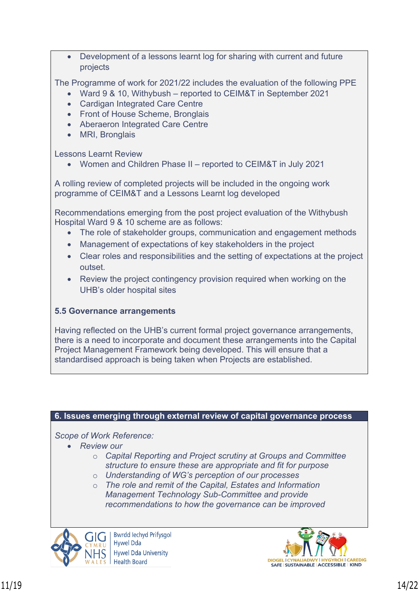Development of a lessons learnt log for sharing with current and future projects

The Programme of work for 2021/22 includes the evaluation of the following PPE

- Ward 9 & 10, Withybush reported to CEIM&T in September 2021
- Cardigan Integrated Care Centre
- Front of House Scheme, Bronglais
- Aberaeron Integrated Care Centre
- MRI, Bronglais

Lessons Learnt Review

Women and Children Phase II – reported to CEIM&T in July 2021

A rolling review of completed projects will be included in the ongoing work programme of CEIM&T and a Lessons Learnt log developed

Recommendations emerging from the post project evaluation of the Withybush Hospital Ward 9 & 10 scheme are as follows:

- The role of stakeholder groups, communication and engagement methods
- Management of expectations of key stakeholders in the project
- Clear roles and responsibilities and the setting of expectations at the project outset.
- Review the project contingency provision required when working on the UHB's older hospital sites

## **5.5 Governance arrangements**

Having reflected on the UHB's current formal project governance arrangements, there is a need to incorporate and document these arrangements into the Capital Project Management Framework being developed. This will ensure that a standardised approach is being taken when Projects are established.

#### **6. Issues emerging through external review of capital governance process**

*Scope of Work Reference:*

- *Review our* 
	- o *Capital Reporting and Project scrutiny at Groups and Committee structure to ensure these are appropriate and fit for purpose*
	- o *Understanding of WG's perception of our processes*
	- o *The role and remit of the Capital, Estates and Information Management Technology Sub-Committee and provide recommendations to how the governance can be improved*



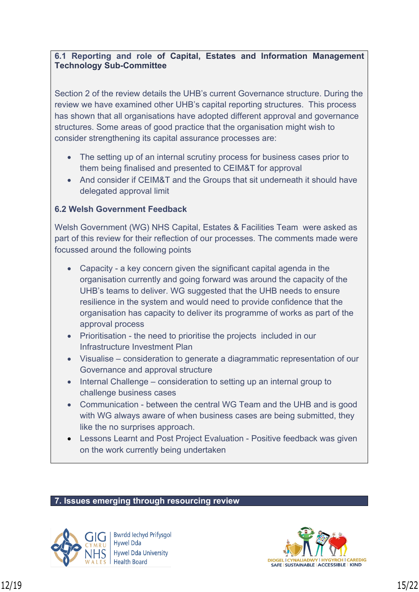### **6.1 Reporting and role of Capital, Estates and Information Management Technology Sub-Committee**

Section 2 of the review details the UHB's current Governance structure. During the review we have examined other UHB's capital reporting structures. This process has shown that all organisations have adopted different approval and governance structures. Some areas of good practice that the organisation might wish to consider strengthening its capital assurance processes are:

- The setting up of an internal scrutiny process for business cases prior to them being finalised and presented to CEIM&T for approval
- And consider if CEIM&T and the Groups that sit underneath it should have delegated approval limit

### **6.2 Welsh Government Feedback**

Welsh Government (WG) NHS Capital, Estates & Facilities Team were asked as part of this review for their reflection of our processes. The comments made were focussed around the following points

- Capacity a key concern given the significant capital agenda in the organisation currently and going forward was around the capacity of the UHB's teams to deliver. WG suggested that the UHB needs to ensure resilience in the system and would need to provide confidence that the organisation has capacity to deliver its programme of works as part of the approval process
- Prioritisation the need to prioritise the projects included in our Infrastructure Investment Plan
- Visualise consideration to generate a diagrammatic representation of our Governance and approval structure
- Internal Challenge consideration to setting up an internal group to challenge business cases
- Communication between the central WG Team and the UHB and is good with WG always aware of when business cases are being submitted, they like the no surprises approach.
- Lessons Learnt and Post Project Evaluation Positive feedback was given on the work currently being undertaken

### **7. Issues emerging through resourcing review**



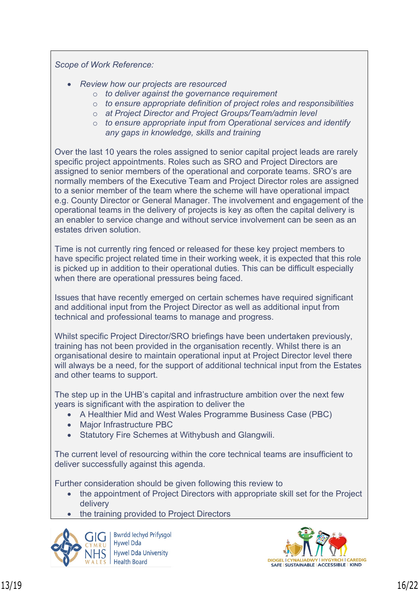*Scope of Work Reference:*

- *Review how our projects are resourced*
	- o *to deliver against the governance requirement*
	- o *to ensure appropriate definition of project roles and responsibilities*
	- o *at Project Director and Project Groups/Team/admin level*
	- o *to ensure appropriate input from Operational services and identify any gaps in knowledge, skills and training*

Over the last 10 years the roles assigned to senior capital project leads are rarely specific project appointments. Roles such as SRO and Project Directors are assigned to senior members of the operational and corporate teams. SRO's are normally members of the Executive Team and Project Director roles are assigned to a senior member of the team where the scheme will have operational impact e.g. County Director or General Manager. The involvement and engagement of the operational teams in the delivery of projects is key as often the capital delivery is an enabler to service change and without service involvement can be seen as an estates driven solution.

Time is not currently ring fenced or released for these key project members to have specific project related time in their working week, it is expected that this role is picked up in addition to their operational duties. This can be difficult especially when there are operational pressures being faced.

Issues that have recently emerged on certain schemes have required significant and additional input from the Project Director as well as additional input from technical and professional teams to manage and progress.

Whilst specific Project Director/SRO briefings have been undertaken previously, training has not been provided in the organisation recently. Whilst there is an organisational desire to maintain operational input at Project Director level there will always be a need, for the support of additional technical input from the Estates and other teams to support.

The step up in the UHB's capital and infrastructure ambition over the next few years is significant with the aspiration to deliver the

- A Healthier Mid and West Wales Programme Business Case (PBC)
- Major Infrastructure PBC
- Statutory Fire Schemes at Withybush and Glangwili.

The current level of resourcing within the core technical teams are insufficient to deliver successfully against this agenda.

Further consideration should be given following this review to

- the appointment of Project Directors with appropriate skill set for the Project delivery
- the training provided to Project Directors



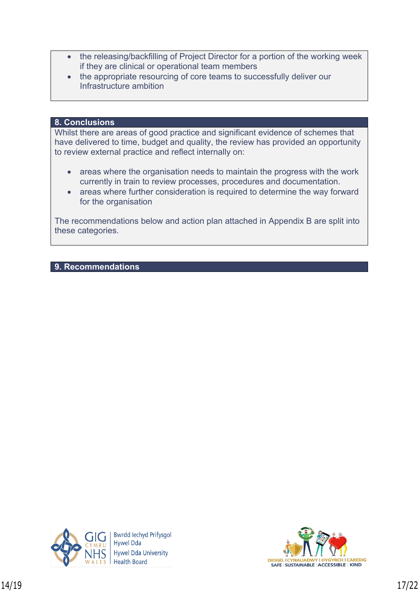- the releasing/backfilling of Project Director for a portion of the working week if they are clinical or operational team members
- the appropriate resourcing of core teams to successfully deliver our Infrastructure ambition

#### **8. Conclusions**

Whilst there are areas of good practice and significant evidence of schemes that have delivered to time, budget and quality, the review has provided an opportunity to review external practice and reflect internally on:

- areas where the organisation needs to maintain the progress with the work currently in train to review processes, procedures and documentation.
- areas where further consideration is required to determine the way forward for the organisation

The recommendations below and action plan attached in Appendix B are split into these categories.

#### **9. Recommendations**



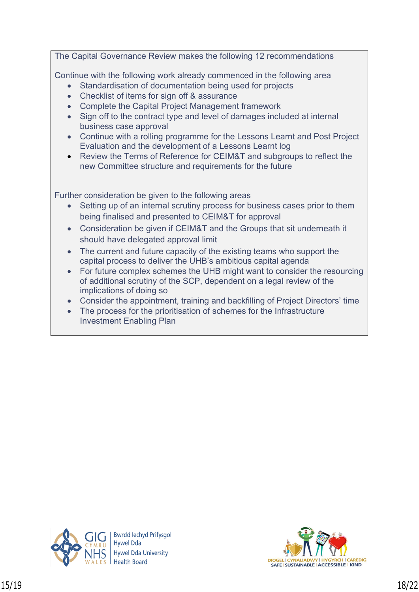The Capital Governance Review makes the following 12 recommendations Continue with the following work already commenced in the following area Standardisation of documentation being used for projects • Checklist of items for sign off & assurance Complete the Capital Project Management framework Sign off to the contract type and level of damages included at internal business case approval Continue with a rolling programme for the Lessons Learnt and Post Project Evaluation and the development of a Lessons Learnt log Review the Terms of Reference for CEIM&T and subgroups to reflect the new Committee structure and requirements for the future Further consideration be given to the following areas Setting up of an internal scrutiny process for business cases prior to them being finalised and presented to CEIM&T for approval Consideration be given if CEIM&T and the Groups that sit underneath it should have delegated approval limit • The current and future capacity of the existing teams who support the capital process to deliver the UHB's ambitious capital agenda For future complex schemes the UHB might want to consider the resourcing of additional scrutiny of the SCP, dependent on a legal review of the implications of doing so Consider the appointment, training and backfilling of Project Directors' time

• The process for the prioritisation of schemes for the Infrastructure Investment Enabling Plan



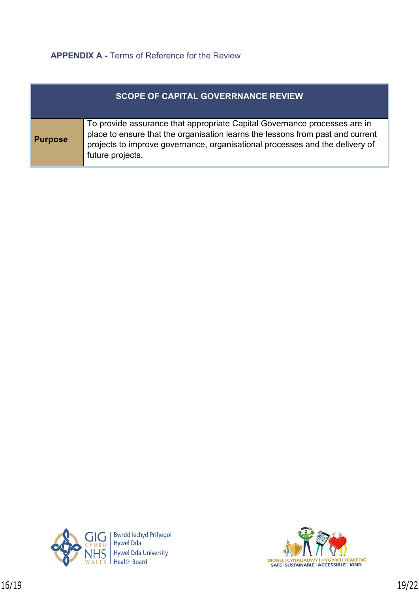# **APPENDIX A -** Terms of Reference for the Review

| <b>SCOPE OF CAPITAL GOVERRNANCE REVIEW</b> |                                                                                                                                                                                                                                                                 |  |  |  |
|--------------------------------------------|-----------------------------------------------------------------------------------------------------------------------------------------------------------------------------------------------------------------------------------------------------------------|--|--|--|
| <b>Purpose</b>                             | To provide assurance that appropriate Capital Governance processes are in<br>place to ensure that the organisation learns the lessons from past and current<br>projects to improve governance, organisational processes and the delivery of<br>future projects. |  |  |  |



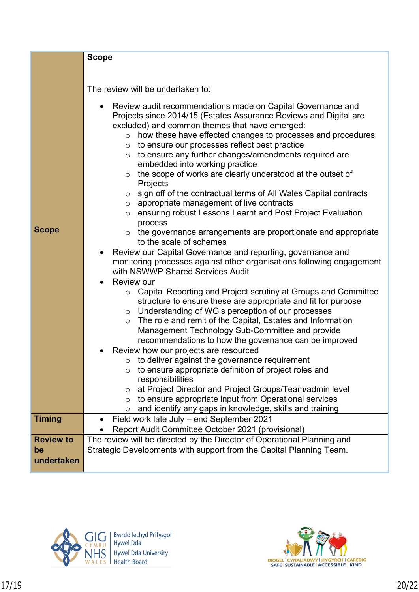|                  | <b>Scope</b>                                                                                                                                                                                                                                                                                                                                                                                                                                                                                                                                                                                                                                                                                                                                                                                                                                                                                                                                                                                                                                                                                                                                                                                                                                                                                                                                                                                                                                                                                                                                                                                                                                                                                            |
|------------------|---------------------------------------------------------------------------------------------------------------------------------------------------------------------------------------------------------------------------------------------------------------------------------------------------------------------------------------------------------------------------------------------------------------------------------------------------------------------------------------------------------------------------------------------------------------------------------------------------------------------------------------------------------------------------------------------------------------------------------------------------------------------------------------------------------------------------------------------------------------------------------------------------------------------------------------------------------------------------------------------------------------------------------------------------------------------------------------------------------------------------------------------------------------------------------------------------------------------------------------------------------------------------------------------------------------------------------------------------------------------------------------------------------------------------------------------------------------------------------------------------------------------------------------------------------------------------------------------------------------------------------------------------------------------------------------------------------|
|                  |                                                                                                                                                                                                                                                                                                                                                                                                                                                                                                                                                                                                                                                                                                                                                                                                                                                                                                                                                                                                                                                                                                                                                                                                                                                                                                                                                                                                                                                                                                                                                                                                                                                                                                         |
|                  |                                                                                                                                                                                                                                                                                                                                                                                                                                                                                                                                                                                                                                                                                                                                                                                                                                                                                                                                                                                                                                                                                                                                                                                                                                                                                                                                                                                                                                                                                                                                                                                                                                                                                                         |
|                  | The review will be undertaken to:                                                                                                                                                                                                                                                                                                                                                                                                                                                                                                                                                                                                                                                                                                                                                                                                                                                                                                                                                                                                                                                                                                                                                                                                                                                                                                                                                                                                                                                                                                                                                                                                                                                                       |
|                  |                                                                                                                                                                                                                                                                                                                                                                                                                                                                                                                                                                                                                                                                                                                                                                                                                                                                                                                                                                                                                                                                                                                                                                                                                                                                                                                                                                                                                                                                                                                                                                                                                                                                                                         |
| <b>Scope</b>     | Review audit recommendations made on Capital Governance and<br>Projects since 2014/15 (Estates Assurance Reviews and Digital are<br>excluded) and common themes that have emerged:<br>how these have effected changes to processes and procedures<br>$\circ$<br>to ensure our processes reflect best practice<br>$\circ$<br>to ensure any further changes/amendments required are<br>$\circ$<br>embedded into working practice<br>the scope of works are clearly understood at the outset of<br>$\circ$<br>Projects<br>sign off of the contractual terms of All Wales Capital contracts<br>$\circ$<br>appropriate management of live contracts<br>$\circ$<br>ensuring robust Lessons Learnt and Post Project Evaluation<br>$\circ$<br>process<br>the governance arrangements are proportionate and appropriate<br>$\circ$<br>to the scale of schemes<br>Review our Capital Governance and reporting, governance and<br>monitoring processes against other organisations following engagement<br>with NSWWP Shared Services Audit<br><b>Review our</b><br>Capital Reporting and Project scrutiny at Groups and Committee<br>O<br>structure to ensure these are appropriate and fit for purpose<br>Understanding of WG's perception of our processes<br>$\circ$<br>The role and remit of the Capital, Estates and Information<br>$\circ$<br>Management Technology Sub-Committee and provide<br>recommendations to how the governance can be improved<br>Review how our projects are resourced<br>$\circ$ to deliver against the governance requirement<br>to ensure appropriate definition of project roles and<br>$\circ$<br>responsibilities<br>at Project Director and Project Groups/Team/admin level |
|                  | $\circ$<br>to ensure appropriate input from Operational services<br>$\circ$                                                                                                                                                                                                                                                                                                                                                                                                                                                                                                                                                                                                                                                                                                                                                                                                                                                                                                                                                                                                                                                                                                                                                                                                                                                                                                                                                                                                                                                                                                                                                                                                                             |
|                  | and identify any gaps in knowledge, skills and training<br>O                                                                                                                                                                                                                                                                                                                                                                                                                                                                                                                                                                                                                                                                                                                                                                                                                                                                                                                                                                                                                                                                                                                                                                                                                                                                                                                                                                                                                                                                                                                                                                                                                                            |
| <b>Timing</b>    | Field work late July - end September 2021                                                                                                                                                                                                                                                                                                                                                                                                                                                                                                                                                                                                                                                                                                                                                                                                                                                                                                                                                                                                                                                                                                                                                                                                                                                                                                                                                                                                                                                                                                                                                                                                                                                               |
|                  | Report Audit Committee October 2021 (provisional)                                                                                                                                                                                                                                                                                                                                                                                                                                                                                                                                                                                                                                                                                                                                                                                                                                                                                                                                                                                                                                                                                                                                                                                                                                                                                                                                                                                                                                                                                                                                                                                                                                                       |
| <b>Review to</b> | The review will be directed by the Director of Operational Planning and                                                                                                                                                                                                                                                                                                                                                                                                                                                                                                                                                                                                                                                                                                                                                                                                                                                                                                                                                                                                                                                                                                                                                                                                                                                                                                                                                                                                                                                                                                                                                                                                                                 |
| be               | Strategic Developments with support from the Capital Planning Team.                                                                                                                                                                                                                                                                                                                                                                                                                                                                                                                                                                                                                                                                                                                                                                                                                                                                                                                                                                                                                                                                                                                                                                                                                                                                                                                                                                                                                                                                                                                                                                                                                                     |
|                  |                                                                                                                                                                                                                                                                                                                                                                                                                                                                                                                                                                                                                                                                                                                                                                                                                                                                                                                                                                                                                                                                                                                                                                                                                                                                                                                                                                                                                                                                                                                                                                                                                                                                                                         |
| undertaken       |                                                                                                                                                                                                                                                                                                                                                                                                                                                                                                                                                                                                                                                                                                                                                                                                                                                                                                                                                                                                                                                                                                                                                                                                                                                                                                                                                                                                                                                                                                                                                                                                                                                                                                         |



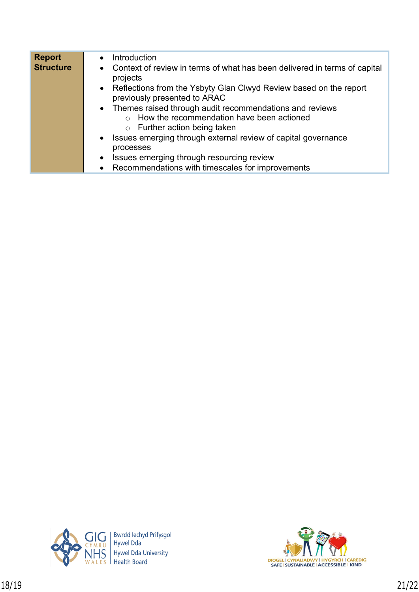| <b>Report</b>    | Introduction                                                                                        |
|------------------|-----------------------------------------------------------------------------------------------------|
| <b>Structure</b> | • Context of review in terms of what has been delivered in terms of capital<br>projects             |
|                  | • Reflections from the Ysbyty Glan Clwyd Review based on the report<br>previously presented to ARAC |
|                  | • Themes raised through audit recommendations and reviews                                           |
|                  | How the recommendation have been actioned<br>$\bigcap$                                              |
|                  | $\circ$ Further action being taken                                                                  |
|                  | • Issues emerging through external review of capital governance                                     |
|                  | processes                                                                                           |
|                  | Issues emerging through resourcing review<br>$\bullet$                                              |
|                  | • Recommendations with timescales for improvements                                                  |